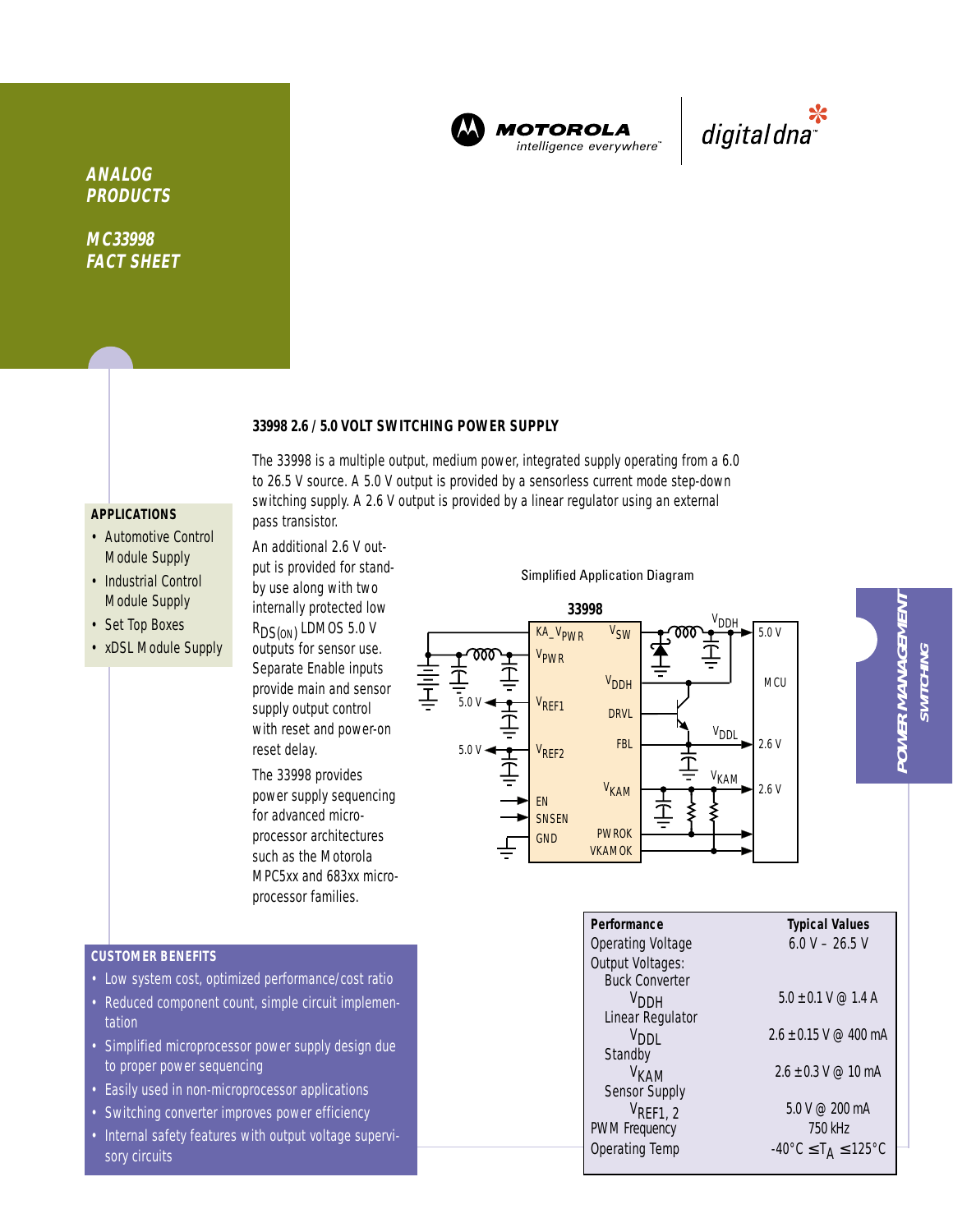

**MOTOROLA** intelligence everywhere<sup>®</sup>



**ANALOG PRODUCTS**

**MC33998 FACT SHEET**

#### **33998 2.6 / 5.0 VOLT SWITCHING POWER SUPPLY**

The 33998 is a multiple output, medium power, integrated supply operating from a 6.0 to 26.5 V source. A 5.0 V output is provided by a sensorless current mode step-down switching supply. A 2.6 V output is provided by a linear regulator using an external

# **APPLICATIONS**

- Automotive Control Module Supply
- Industrial Control Module Supply
- Set Top Boxes
- xDSL Module Supply

by use along with two internally protected low R<sub>DS(ON)</sub> LDMOS 5.0 V outputs for sensor use. Separate Enable inputs provide main and sensor supply output control with reset and power-on reset delay.

pass transistor.

An additional 2.6 V output is provided for stand-

The 33998 provides power supply sequencing for advanced microprocessor architectures such as the Motorola MPC5xx and 683xx microprocessor families.

Simplified Application Diagram



**CUSTOMER BENEFITS**

- Low system cost, optimized performance/cost ratio
- Reduced component count, simple circuit implementation
- Simplified microprocessor power supply design due to proper power sequencing
- Easily used in non-microprocessor applications
- Switching converter improves power efficiency
- Internal safety features with output voltage supervisory circuits

| Performance           | <b>Typical Values</b>                                         |
|-----------------------|---------------------------------------------------------------|
| Operating Voltage     | $6.0 V - 26.5 V$                                              |
| Output Voltages:      |                                                               |
| <b>Buck Converter</b> |                                                               |
| V <sub>DDH</sub>      | $5.0 + 0.1$ V @ 1.4 A                                         |
| Linear Regulator      |                                                               |
| V <sub>DDI</sub>      | $2.6 + 0.15$ V @ 400 mA                                       |
| Standby               |                                                               |
| V <sub>KAM</sub>      | $2.6 + 0.3$ V @ 10 mA                                         |
| Sensor Supply         |                                                               |
| $V_{\text{REF1, 2}}$  | 5.0 V @ 200 mA                                                |
| <b>PWM Frequency</b>  | 750 kHz                                                       |
| <b>Operating Temp</b> | $-40^{\circ}$ C $\leq$ T <sub>A</sub> $\leq$ 125 $^{\circ}$ C |
|                       |                                                               |